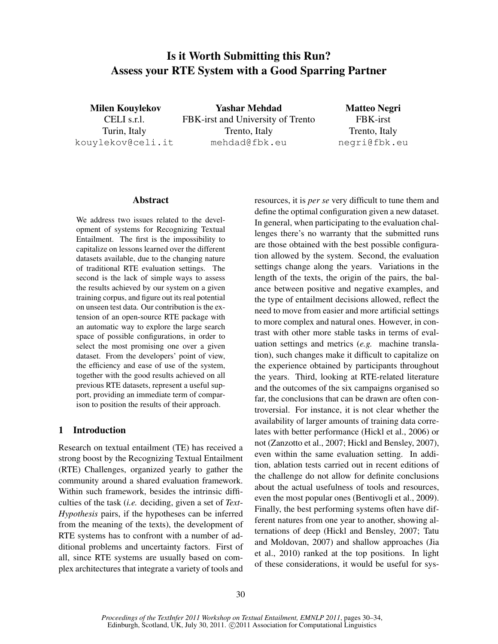# Is it Worth Submitting this Run? Assess your RTE System with a Good Sparring Partner

Milen Kouylekov CELI s.r.l. Turin, Italy kouylekov@celi.it

Yashar Mehdad FBK-irst and University of Trento Trento, Italy mehdad@fbk.eu

Matteo Negri FBK-irst Trento, Italy negri@fbk.eu

#### Abstract

We address two issues related to the development of systems for Recognizing Textual Entailment. The first is the impossibility to capitalize on lessons learned over the different datasets available, due to the changing nature of traditional RTE evaluation settings. The second is the lack of simple ways to assess the results achieved by our system on a given training corpus, and figure out its real potential on unseen test data. Our contribution is the extension of an open-source RTE package with an automatic way to explore the large search space of possible configurations, in order to select the most promising one over a given dataset. From the developers' point of view, the efficiency and ease of use of the system, together with the good results achieved on all previous RTE datasets, represent a useful support, providing an immediate term of comparison to position the results of their approach.

# 1 Introduction

Research on textual entailment (TE) has received a strong boost by the Recognizing Textual Entailment (RTE) Challenges, organized yearly to gather the community around a shared evaluation framework. Within such framework, besides the intrinsic difficulties of the task (*i.e.* deciding, given a set of *Text*-*Hypothesis* pairs, if the hypotheses can be inferred from the meaning of the texts), the development of RTE systems has to confront with a number of additional problems and uncertainty factors. First of all, since RTE systems are usually based on complex architectures that integrate a variety of tools and resources, it is *per se* very difficult to tune them and define the optimal configuration given a new dataset. In general, when participating to the evaluation challenges there's no warranty that the submitted runs are those obtained with the best possible configuration allowed by the system. Second, the evaluation settings change along the years. Variations in the length of the texts, the origin of the pairs, the balance between positive and negative examples, and the type of entailment decisions allowed, reflect the need to move from easier and more artificial settings to more complex and natural ones. However, in contrast with other more stable tasks in terms of evaluation settings and metrics (*e.g.* machine translation), such changes make it difficult to capitalize on the experience obtained by participants throughout the years. Third, looking at RTE-related literature and the outcomes of the six campaigns organised so far, the conclusions that can be drawn are often controversial. For instance, it is not clear whether the availability of larger amounts of training data correlates with better performance (Hickl et al., 2006) or not (Zanzotto et al., 2007; Hickl and Bensley, 2007), even within the same evaluation setting. In addition, ablation tests carried out in recent editions of the challenge do not allow for definite conclusions about the actual usefulness of tools and resources, even the most popular ones (Bentivogli et al., 2009). Finally, the best performing systems often have different natures from one year to another, showing alternations of deep (Hickl and Bensley, 2007; Tatu and Moldovan, 2007) and shallow approaches (Jia et al., 2010) ranked at the top positions. In light of these considerations, it would be useful for sys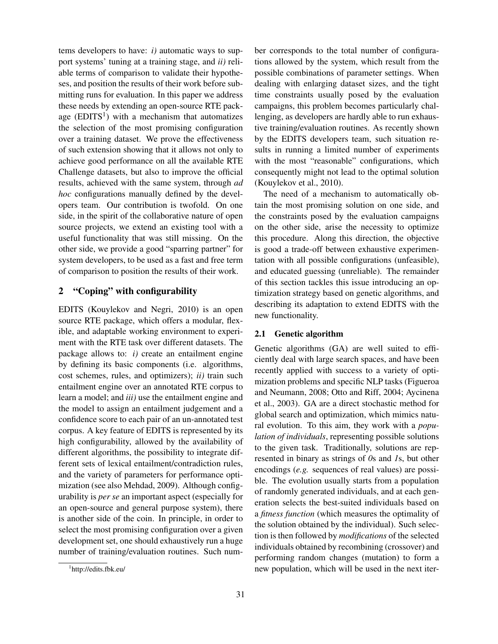tems developers to have: *i)* automatic ways to support systems' tuning at a training stage, and *ii)* reliable terms of comparison to validate their hypotheses, and position the results of their work before submitting runs for evaluation. In this paper we address these needs by extending an open-source RTE package  $(EDITS<sup>1</sup>)$  with a mechanism that automatizes the selection of the most promising configuration over a training dataset. We prove the effectiveness of such extension showing that it allows not only to achieve good performance on all the available RTE Challenge datasets, but also to improve the official results, achieved with the same system, through *ad hoc* configurations manually defined by the developers team. Our contribution is twofold. On one side, in the spirit of the collaborative nature of open source projects, we extend an existing tool with a useful functionality that was still missing. On the other side, we provide a good "sparring partner" for system developers, to be used as a fast and free term of comparison to position the results of their work.

## 2 "Coping" with configurability

EDITS (Kouylekov and Negri, 2010) is an open source RTE package, which offers a modular, flexible, and adaptable working environment to experiment with the RTE task over different datasets. The package allows to:  $i$ ) create an entailment engine by defining its basic components (i.e. algorithms, cost schemes, rules, and optimizers); *ii)* train such entailment engine over an annotated RTE corpus to learn a model; and *iii)* use the entailment engine and the model to assign an entailment judgement and a confidence score to each pair of an un-annotated test corpus. A key feature of EDITS is represented by its high configurability, allowed by the availability of different algorithms, the possibility to integrate different sets of lexical entailment/contradiction rules, and the variety of parameters for performance optimization (see also Mehdad, 2009). Although configurability is *per se* an important aspect (especially for an open-source and general purpose system), there is another side of the coin. In principle, in order to select the most promising configuration over a given development set, one should exhaustively run a huge number of training/evaluation routines. Such number corresponds to the total number of configurations allowed by the system, which result from the possible combinations of parameter settings. When dealing with enlarging dataset sizes, and the tight time constraints usually posed by the evaluation campaigns, this problem becomes particularly challenging, as developers are hardly able to run exhaustive training/evaluation routines. As recently shown by the EDITS developers team, such situation results in running a limited number of experiments with the most "reasonable" configurations, which consequently might not lead to the optimal solution (Kouylekov et al., 2010).

The need of a mechanism to automatically obtain the most promising solution on one side, and the constraints posed by the evaluation campaigns on the other side, arise the necessity to optimize this procedure. Along this direction, the objective is good a trade-off between exhaustive experimentation with all possible configurations (unfeasible), and educated guessing (unreliable). The remainder of this section tackles this issue introducing an optimization strategy based on genetic algorithms, and describing its adaptation to extend EDITS with the new functionality.

#### 2.1 Genetic algorithm

Genetic algorithms (GA) are well suited to efficiently deal with large search spaces, and have been recently applied with success to a variety of optimization problems and specific NLP tasks (Figueroa and Neumann, 2008; Otto and Riff, 2004; Aycinena et al., 2003). GA are a direct stochastic method for global search and optimization, which mimics natural evolution. To this aim, they work with a *population of individuals*, representing possible solutions to the given task. Traditionally, solutions are represented in binary as strings of *0*s and *1*s, but other encodings (*e.g.* sequences of real values) are possible. The evolution usually starts from a population of randomly generated individuals, and at each generation selects the best-suited individuals based on a *fitness function* (which measures the optimality of the solution obtained by the individual). Such selection is then followed by *modifications* of the selected individuals obtained by recombining (crossover) and performing random changes (mutation) to form a new population, which will be used in the next iter-

<sup>1</sup> http://edits.fbk.eu/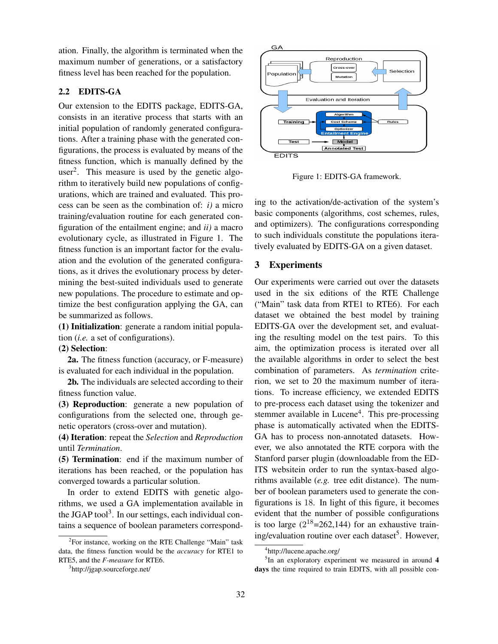ation. Finally, the algorithm is terminated when the maximum number of generations, or a satisfactory fitness level has been reached for the population.

# 2.2 EDITS-GA

Our extension to the EDITS package, EDITS-GA, consists in an iterative process that starts with an initial population of randomly generated configurations. After a training phase with the generated configurations, the process is evaluated by means of the fitness function, which is manually defined by the user<sup>2</sup>. This measure is used by the genetic algorithm to iteratively build new populations of configurations, which are trained and evaluated. This process can be seen as the combination of: *i)* a micro training/evaluation routine for each generated configuration of the entailment engine; and *ii)* a macro evolutionary cycle, as illustrated in Figure 1. The fitness function is an important factor for the evaluation and the evolution of the generated configurations, as it drives the evolutionary process by determining the best-suited individuals used to generate new populations. The procedure to estimate and optimize the best configuration applying the GA, can be summarized as follows.

(1) Initialization: generate a random initial population (*i.e.* a set of configurations).

# (2) Selection:

2a. The fitness function (accuracy, or F-measure) is evaluated for each individual in the population.

2b. The individuals are selected according to their fitness function value.

(3) Reproduction: generate a new population of configurations from the selected one, through genetic operators (cross-over and mutation).

(4) Iteration: repeat the *Selection* and *Reproduction* until *Termination*.

(5) Termination: end if the maximum number of iterations has been reached, or the population has converged towards a particular solution.

In order to extend EDITS with genetic algorithms, we used a GA implementation available in the JGAP tool<sup>3</sup>. In our settings, each individual contains a sequence of boolean parameters correspond-



Figure 1: EDITS-GA framework.

ing to the activation/de-activation of the system's basic components (algorithms, cost schemes, rules, and optimizers). The configurations corresponding to such individuals constitute the populations iteratively evaluated by EDITS-GA on a given dataset.

# 3 Experiments

Our experiments were carried out over the datasets used in the six editions of the RTE Challenge ("Main" task data from RTE1 to RTE6). For each dataset we obtained the best model by training EDITS-GA over the development set, and evaluating the resulting model on the test pairs. To this aim, the optimization process is iterated over all the available algorithms in order to select the best combination of parameters. As *termination* criterion, we set to 20 the maximum number of iterations. To increase efficiency, we extended EDITS to pre-process each dataset using the tokenizer and stemmer available in Lucene<sup>4</sup>. This pre-processing phase is automatically activated when the EDITS-GA has to process non-annotated datasets. However, we also annotated the RTE corpora with the Stanford parser plugin (downloadable from the ED-ITS websitein order to run the syntax-based algorithms available (*e.g.* tree edit distance). The number of boolean parameters used to generate the configurations is 18. In light of this figure, it becomes evident that the number of possible configurations is too large  $(2^{18} = 262, 144)$  for an exhaustive training/evaluation routine over each dataset<sup>5</sup>. However,

<sup>5</sup>In an exploratory experiment we measured in around 4 days the time required to train EDITS, with all possible con-

<sup>&</sup>lt;sup>2</sup>For instance, working on the RTE Challenge "Main" task data, the fitness function would be the *accuracy* for RTE1 to RTE5, and the *F-measure* for RTE6.

<sup>&</sup>lt;sup>3</sup>http://jgap.sourceforge.net/

<sup>4</sup> http://lucene.apache.org/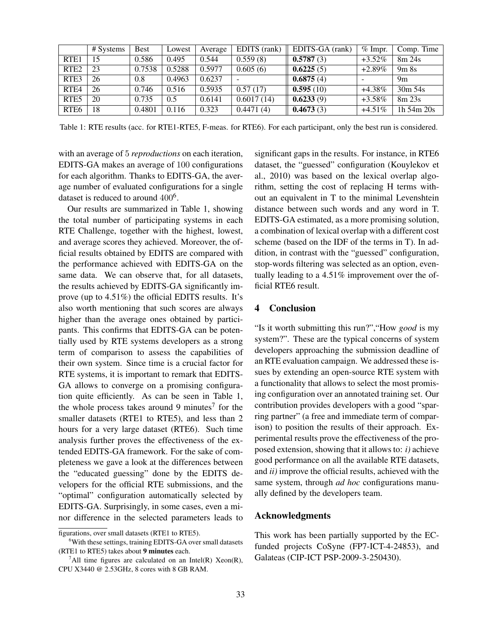|                  | # Systems | <b>Best</b> | Lowest | Average | EDITS (rank) | EDITS-GA (rank) | $%$ Impr. | Comp. Time   |
|------------------|-----------|-------------|--------|---------|--------------|-----------------|-----------|--------------|
| RTE <sub>1</sub> | 15        | 0.586       | 0.495  | 0.544   | 0.559(8)     | 0.5787(3)       | $+3.52\%$ | 8m 24s       |
| RTE <sub>2</sub> | 23        | 0.7538      | 0.5288 | 0.5977  | 0.605(6)     | 0.6225(5)       | $+2.89\%$ | 9m8s         |
| RTE3             | 26        | 0.8         | 0.4963 | 0.6237  |              | 0.6875(4)       |           | 9m           |
| RTE <sub>4</sub> | 26        | 0.746       | 0.516  | 0.5935  | 0.57(17)     | 0.595(10)       | $+4.38\%$ | $30m\,54s$   |
| RTE <sub>5</sub> | 20        | 0.735       | 0.5    | 0.6141  | 0.6017(14)   | 0.6233(9)       | $+3.58\%$ | 8m23s        |
| RTE <sub>6</sub> | 18        | 0.4801      | 0.116  | 0.323   | 0.4471(4)    | 0.4673(3)       | $+4.51\%$ | 1h $54m 20s$ |

Table 1: RTE results (acc. for RTE1-RTE5, F-meas. for RTE6). For each participant, only the best run is considered.

with an average of 5 *reproductions* on each iteration, EDITS-GA makes an average of 100 configurations for each algorithm. Thanks to EDITS-GA, the average number of evaluated configurations for a single dataset is reduced to around  $400<sup>6</sup>$ .

Our results are summarized in Table 1, showing the total number of participating systems in each RTE Challenge, together with the highest, lowest, and average scores they achieved. Moreover, the official results obtained by EDITS are compared with the performance achieved with EDITS-GA on the same data. We can observe that, for all datasets, the results achieved by EDITS-GA significantly improve (up to 4.51%) the official EDITS results. It's also worth mentioning that such scores are always higher than the average ones obtained by participants. This confirms that EDITS-GA can be potentially used by RTE systems developers as a strong term of comparison to assess the capabilities of their own system. Since time is a crucial factor for RTE systems, it is important to remark that EDITS-GA allows to converge on a promising configuration quite efficiently. As can be seen in Table 1, the whole process takes around 9 minutes<sup>7</sup> for the smaller datasets (RTE1 to RTE5), and less than 2 hours for a very large dataset (RTE6). Such time analysis further proves the effectiveness of the extended EDITS-GA framework. For the sake of completeness we gave a look at the differences between the "educated guessing" done by the EDITS developers for the official RTE submissions, and the "optimal" configuration automatically selected by EDITS-GA. Surprisingly, in some cases, even a minor difference in the selected parameters leads to significant gaps in the results. For instance, in RTE6 dataset, the "guessed" configuration (Kouylekov et al., 2010) was based on the lexical overlap algorithm, setting the cost of replacing H terms without an equivalent in T to the minimal Levenshtein distance between such words and any word in T. EDITS-GA estimated, as a more promising solution, a combination of lexical overlap with a different cost scheme (based on the IDF of the terms in T). In addition, in contrast with the "guessed" configuration, stop-words filtering was selected as an option, eventually leading to a 4.51% improvement over the official RTE6 result.

#### 4 Conclusion

"Is it worth submitting this run?","How *good* is my system?". These are the typical concerns of system developers approaching the submission deadline of an RTE evaluation campaign. We addressed these issues by extending an open-source RTE system with a functionality that allows to select the most promising configuration over an annotated training set. Our contribution provides developers with a good "sparring partner" (a free and immediate term of comparison) to position the results of their approach. Experimental results prove the effectiveness of the proposed extension, showing that it allows to: *i)* achieve good performance on all the available RTE datasets, and *ii)* improve the official results, achieved with the same system, through *ad hoc* configurations manually defined by the developers team.

#### Acknowledgments

This work has been partially supported by the ECfunded projects CoSyne (FP7-ICT-4-24853), and Galateas (CIP-ICT PSP-2009-3-250430).

figurations, over small datasets (RTE1 to RTE5).

<sup>&</sup>lt;sup>6</sup>With these settings, training EDITS-GA over small datasets (RTE1 to RTE5) takes about 9 minutes each.

<sup>&</sup>lt;sup>7</sup>All time figures are calculated on an Intel(R) Xeon(R), CPU X3440 @ 2.53GHz, 8 cores with 8 GB RAM.